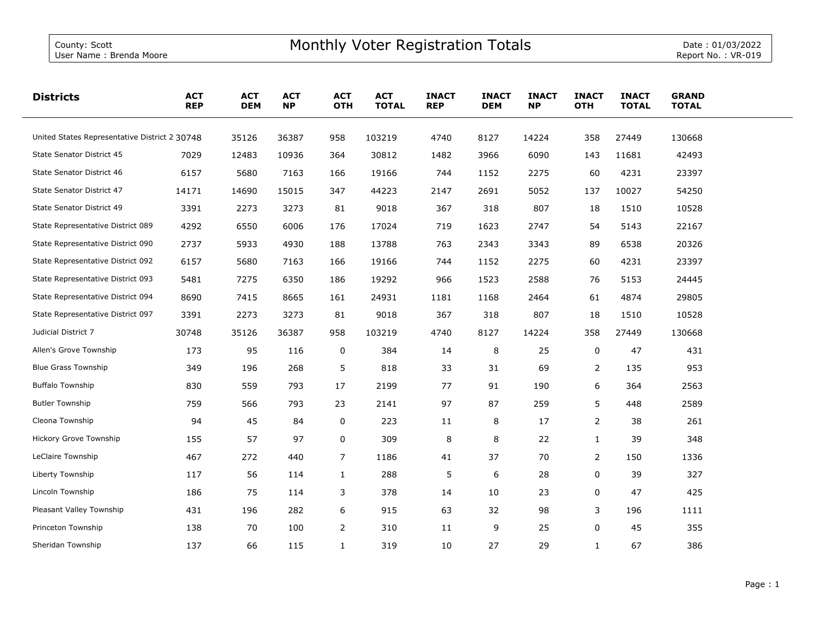| <b>Districts</b>                              | <b>ACT</b><br><b>REP</b> | <b>ACT</b><br><b>DEM</b> | <b>ACT</b><br><b>NP</b> | <b>ACT</b><br><b>OTH</b> | <b>ACT</b><br><b>TOTAL</b> | <b>INACT</b><br><b>REP</b> | <b>INACT</b><br><b>DEM</b> | <b>INACT</b><br><b>NP</b> | <b>INACT</b><br><b>OTH</b> | <b>INACT</b><br><b>TOTAL</b> | <b>GRAND</b><br><b>TOTAL</b> |  |
|-----------------------------------------------|--------------------------|--------------------------|-------------------------|--------------------------|----------------------------|----------------------------|----------------------------|---------------------------|----------------------------|------------------------------|------------------------------|--|
| United States Representative District 2 30748 |                          | 35126                    | 36387                   | 958                      | 103219                     | 4740                       | 8127                       | 14224                     | 358                        | 27449                        | 130668                       |  |
| State Senator District 45                     | 7029                     | 12483                    | 10936                   | 364                      | 30812                      | 1482                       | 3966                       | 6090                      | 143                        | 11681                        | 42493                        |  |
| State Senator District 46                     | 6157                     | 5680                     | 7163                    | 166                      | 19166                      | 744                        | 1152                       | 2275                      | 60                         | 4231                         | 23397                        |  |
| State Senator District 47                     | 14171                    | 14690                    | 15015                   | 347                      | 44223                      | 2147                       | 2691                       | 5052                      | 137                        | 10027                        | 54250                        |  |
| State Senator District 49                     | 3391                     | 2273                     | 3273                    | 81                       | 9018                       | 367                        | 318                        | 807                       | 18                         | 1510                         | 10528                        |  |
| State Representative District 089             | 4292                     | 6550                     | 6006                    | 176                      | 17024                      | 719                        | 1623                       | 2747                      | 54                         | 5143                         | 22167                        |  |
| State Representative District 090             | 2737                     | 5933                     | 4930                    | 188                      | 13788                      | 763                        | 2343                       | 3343                      | 89                         | 6538                         | 20326                        |  |
| State Representative District 092             | 6157                     | 5680                     | 7163                    | 166                      | 19166                      | 744                        | 1152                       | 2275                      | 60                         | 4231                         | 23397                        |  |
| State Representative District 093             | 5481                     | 7275                     | 6350                    | 186                      | 19292                      | 966                        | 1523                       | 2588                      | 76                         | 5153                         | 24445                        |  |
| State Representative District 094             | 8690                     | 7415                     | 8665                    | 161                      | 24931                      | 1181                       | 1168                       | 2464                      | 61                         | 4874                         | 29805                        |  |
| State Representative District 097             | 3391                     | 2273                     | 3273                    | 81                       | 9018                       | 367                        | 318                        | 807                       | 18                         | 1510                         | 10528                        |  |
| Judicial District 7                           | 30748                    | 35126                    | 36387                   | 958                      | 103219                     | 4740                       | 8127                       | 14224                     | 358                        | 27449                        | 130668                       |  |
| Allen's Grove Township                        | 173                      | 95                       | 116                     | 0                        | 384                        | 14                         | 8                          | 25                        | 0                          | 47                           | 431                          |  |
| <b>Blue Grass Township</b>                    | 349                      | 196                      | 268                     | 5                        | 818                        | 33                         | 31                         | 69                        | $\overline{2}$             | 135                          | 953                          |  |
| <b>Buffalo Township</b>                       | 830                      | 559                      | 793                     | 17                       | 2199                       | 77                         | 91                         | 190                       | 6                          | 364                          | 2563                         |  |
| <b>Butler Township</b>                        | 759                      | 566                      | 793                     | 23                       | 2141                       | 97                         | 87                         | 259                       | 5                          | 448                          | 2589                         |  |
| Cleona Township                               | 94                       | 45                       | 84                      | 0                        | 223                        | 11                         | 8                          | 17                        | $\overline{2}$             | 38                           | 261                          |  |
| Hickory Grove Township                        | 155                      | 57                       | 97                      | 0                        | 309                        | 8                          | 8                          | 22                        | $\mathbf{1}$               | 39                           | 348                          |  |
| LeClaire Township                             | 467                      | 272                      | 440                     | 7                        | 1186                       | 41                         | 37                         | 70                        | 2                          | 150                          | 1336                         |  |
| Liberty Township                              | 117                      | 56                       | 114                     | $\mathbf{1}$             | 288                        | 5                          | 6                          | 28                        | 0                          | 39                           | 327                          |  |
| Lincoln Township                              | 186                      | 75                       | 114                     | 3                        | 378                        | 14                         | 10                         | 23                        | 0                          | 47                           | 425                          |  |
| Pleasant Valley Township                      | 431                      | 196                      | 282                     | 6                        | 915                        | 63                         | 32                         | 98                        | 3                          | 196                          | 1111                         |  |
| Princeton Township                            | 138                      | 70                       | 100                     | $\mathbf{2}$             | 310                        | 11                         | 9                          | 25                        | 0                          | 45                           | 355                          |  |
| Sheridan Township                             | 137                      | 66                       | 115                     | $\mathbf{1}$             | 319                        | 10                         | 27                         | 29                        | $\mathbf{1}$               | 67                           | 386                          |  |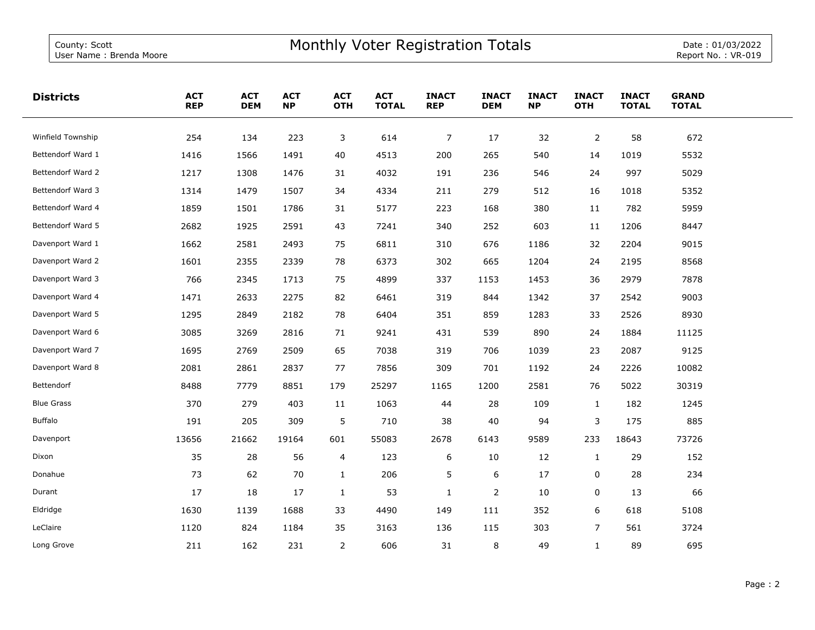| <b>Districts</b>  | <b>ACT</b><br><b>REP</b> | <b>ACT</b><br><b>DEM</b> | <b>ACT</b><br><b>NP</b> | <b>ACT</b><br><b>OTH</b> | <b>ACT</b><br><b>TOTAL</b> | <b>INACT</b><br><b>REP</b> | <b>INACT</b><br><b>DEM</b> | <b>INACT</b><br><b>NP</b> | <b>INACT</b><br><b>OTH</b> | <b>INACT</b><br><b>TOTAL</b> | <b>GRAND</b><br><b>TOTAL</b> |  |
|-------------------|--------------------------|--------------------------|-------------------------|--------------------------|----------------------------|----------------------------|----------------------------|---------------------------|----------------------------|------------------------------|------------------------------|--|
| Winfield Township | 254                      | 134                      | 223                     | 3                        | 614                        | $\overline{7}$             | 17                         | 32                        | $\overline{2}$             | 58                           | 672                          |  |
| Bettendorf Ward 1 | 1416                     | 1566                     | 1491                    | 40                       | 4513                       | 200                        | 265                        | 540                       | 14                         | 1019                         | 5532                         |  |
| Bettendorf Ward 2 | 1217                     | 1308                     | 1476                    | 31                       | 4032                       | 191                        | 236                        | 546                       | 24                         | 997                          | 5029                         |  |
| Bettendorf Ward 3 | 1314                     | 1479                     | 1507                    | 34                       | 4334                       | 211                        | 279                        | 512                       | 16                         | 1018                         | 5352                         |  |
| Bettendorf Ward 4 | 1859                     | 1501                     | 1786                    | 31                       | 5177                       | 223                        | 168                        | 380                       | 11                         | 782                          | 5959                         |  |
| Bettendorf Ward 5 | 2682                     | 1925                     | 2591                    | 43                       | 7241                       | 340                        | 252                        | 603                       | 11                         | 1206                         | 8447                         |  |
| Davenport Ward 1  | 1662                     | 2581                     | 2493                    | 75                       | 6811                       | 310                        | 676                        | 1186                      | 32                         | 2204                         | 9015                         |  |
| Davenport Ward 2  | 1601                     | 2355                     | 2339                    | 78                       | 6373                       | 302                        | 665                        | 1204                      | 24                         | 2195                         | 8568                         |  |
| Davenport Ward 3  | 766                      | 2345                     | 1713                    | 75                       | 4899                       | 337                        | 1153                       | 1453                      | 36                         | 2979                         | 7878                         |  |
| Davenport Ward 4  | 1471                     | 2633                     | 2275                    | 82                       | 6461                       | 319                        | 844                        | 1342                      | 37                         | 2542                         | 9003                         |  |
| Davenport Ward 5  | 1295                     | 2849                     | 2182                    | 78                       | 6404                       | 351                        | 859                        | 1283                      | 33                         | 2526                         | 8930                         |  |
| Davenport Ward 6  | 3085                     | 3269                     | 2816                    | 71                       | 9241                       | 431                        | 539                        | 890                       | 24                         | 1884                         | 11125                        |  |
| Davenport Ward 7  | 1695                     | 2769                     | 2509                    | 65                       | 7038                       | 319                        | 706                        | 1039                      | 23                         | 2087                         | 9125                         |  |
| Davenport Ward 8  | 2081                     | 2861                     | 2837                    | 77                       | 7856                       | 309                        | 701                        | 1192                      | 24                         | 2226                         | 10082                        |  |
| Bettendorf        | 8488                     | 7779                     | 8851                    | 179                      | 25297                      | 1165                       | 1200                       | 2581                      | 76                         | 5022                         | 30319                        |  |
| <b>Blue Grass</b> | 370                      | 279                      | 403                     | 11                       | 1063                       | 44                         | 28                         | 109                       | $\mathbf{1}$               | 182                          | 1245                         |  |
| Buffalo           | 191                      | 205                      | 309                     | 5                        | 710                        | 38                         | 40                         | 94                        | 3                          | 175                          | 885                          |  |
| Davenport         | 13656                    | 21662                    | 19164                   | 601                      | 55083                      | 2678                       | 6143                       | 9589                      | 233                        | 18643                        | 73726                        |  |
| Dixon             | 35                       | 28                       | 56                      | 4                        | 123                        | 6                          | 10                         | 12                        | $\mathbf{1}$               | 29                           | 152                          |  |
| Donahue           | 73                       | 62                       | 70                      | $\mathbf{1}$             | 206                        | 5                          | 6                          | 17                        | 0                          | 28                           | 234                          |  |
| Durant            | 17                       | 18                       | 17                      | $\mathbf{1}$             | 53                         | $\mathbf{1}$               | 2                          | 10                        | 0                          | 13                           | 66                           |  |
| Eldridge          | 1630                     | 1139                     | 1688                    | 33                       | 4490                       | 149                        | 111                        | 352                       | 6                          | 618                          | 5108                         |  |
| LeClaire          | 1120                     | 824                      | 1184                    | 35                       | 3163                       | 136                        | 115                        | 303                       | $7^{\circ}$                | 561                          | 3724                         |  |
| Long Grove        | 211                      | 162                      | 231                     | $\overline{2}$           | 606                        | 31                         | 8                          | 49                        | $\mathbf{1}$               | 89                           | 695                          |  |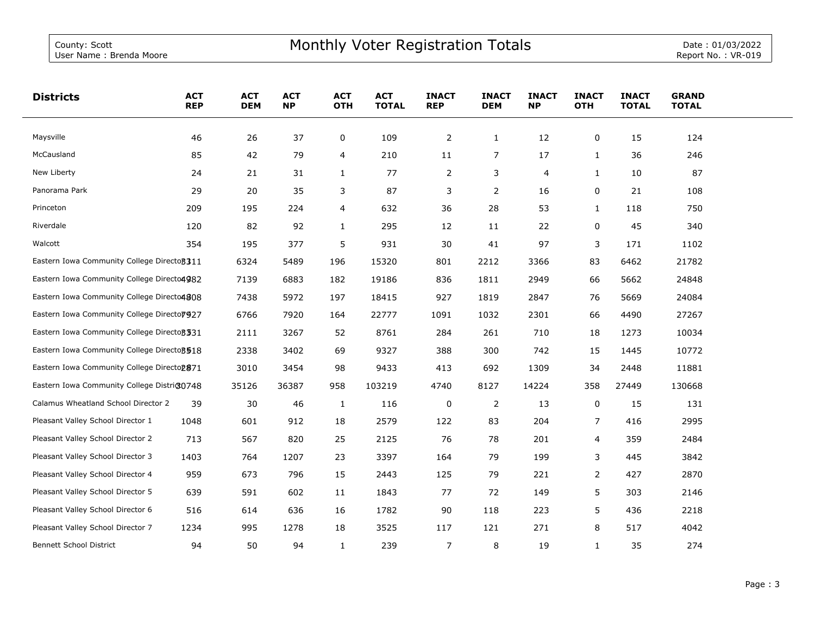| <b>Districts</b>                                       | <b>ACT</b><br><b>REP</b> | <b>ACT</b><br><b>DEM</b> | <b>ACT</b><br><b>NP</b> | <b>ACT</b><br><b>OTH</b> | <b>ACT</b><br><b>TOTAL</b> | <b>INACT</b><br><b>REP</b> | <b>INACT</b><br><b>DEM</b> | <b>INACT</b><br><b>NP</b> | <b>INACT</b><br><b>OTH</b> | <b>INACT</b><br><b>TOTAL</b> | <b>GRAND</b><br><b>TOTAL</b> |  |
|--------------------------------------------------------|--------------------------|--------------------------|-------------------------|--------------------------|----------------------------|----------------------------|----------------------------|---------------------------|----------------------------|------------------------------|------------------------------|--|
| Maysville                                              | 46                       | 26                       | 37                      | 0                        | 109                        | $\overline{2}$             | $\mathbf{1}$               | 12                        | 0                          | 15                           | 124                          |  |
| McCausland                                             | 85                       | 42                       | 79                      | 4                        | 210                        | 11                         | 7                          | 17                        | 1                          | 36                           | 246                          |  |
| New Liberty                                            | 24                       | 21                       | 31                      | $\mathbf{1}$             | 77                         | 2                          | 3                          | 4                         | 1                          | 10                           | 87                           |  |
| Panorama Park                                          | 29                       | 20                       | 35                      | 3                        | 87                         | 3                          | 2                          | 16                        | 0                          | 21                           | 108                          |  |
| Princeton                                              | 209                      | 195                      | 224                     | 4                        | 632                        | 36                         | 28                         | 53                        | 1                          | 118                          | 750                          |  |
| Riverdale                                              | 120                      | 82                       | 92                      | $\mathbf{1}$             | 295                        | 12                         | 11                         | 22                        | 0                          | 45                           | 340                          |  |
| Walcott                                                | 354                      | 195                      | 377                     | 5                        | 931                        | 30                         | 41                         | 97                        | 3                          | 171                          | 1102                         |  |
| Eastern Iowa Community College Directo 311             |                          | 6324                     | 5489                    | 196                      | 15320                      | 801                        | 2212                       | 3366                      | 83                         | 6462                         | 21782                        |  |
| Eastern Iowa Community College Directo4982             |                          | 7139                     | 6883                    | 182                      | 19186                      | 836                        | 1811                       | 2949                      | 66                         | 5662                         | 24848                        |  |
| Eastern Iowa Community College Directo4808             |                          | 7438                     | 5972                    | 197                      | 18415                      | 927                        | 1819                       | 2847                      | 76                         | 5669                         | 24084                        |  |
| Eastern Iowa Community College Directo 7927            |                          | 6766                     | 7920                    | 164                      | 22777                      | 1091                       | 1032                       | 2301                      | 66                         | 4490                         | 27267                        |  |
| Eastern Iowa Community College Directo 331             |                          | 2111                     | 3267                    | 52                       | 8761                       | 284                        | 261                        | 710                       | 18                         | 1273                         | 10034                        |  |
| Eastern Iowa Community College Directo 3518            |                          | 2338                     | 3402                    | 69                       | 9327                       | 388                        | 300                        | 742                       | 15                         | 1445                         | 10772                        |  |
| Eastern Iowa Community College Directo <sub>2871</sub> |                          | 3010                     | 3454                    | 98                       | 9433                       | 413                        | 692                        | 1309                      | 34                         | 2448                         | 11881                        |  |
| Eastern Iowa Community College District0748            |                          | 35126                    | 36387                   | 958                      | 103219                     | 4740                       | 8127                       | 14224                     | 358                        | 27449                        | 130668                       |  |
| Calamus Wheatland School Director 2                    | 39                       | 30                       | 46                      | 1                        | 116                        | 0                          | 2                          | 13                        | 0                          | 15                           | 131                          |  |
| Pleasant Valley School Director 1                      | 1048                     | 601                      | 912                     | 18                       | 2579                       | 122                        | 83                         | 204                       | 7                          | 416                          | 2995                         |  |
| Pleasant Valley School Director 2                      | 713                      | 567                      | 820                     | 25                       | 2125                       | 76                         | 78                         | 201                       | $\overline{4}$             | 359                          | 2484                         |  |
| Pleasant Valley School Director 3                      | 1403                     | 764                      | 1207                    | 23                       | 3397                       | 164                        | 79                         | 199                       | 3                          | 445                          | 3842                         |  |
| Pleasant Valley School Director 4                      | 959                      | 673                      | 796                     | 15                       | 2443                       | 125                        | 79                         | 221                       | $\overline{2}$             | 427                          | 2870                         |  |
| Pleasant Valley School Director 5                      | 639                      | 591                      | 602                     | 11                       | 1843                       | 77                         | 72                         | 149                       | 5                          | 303                          | 2146                         |  |
| Pleasant Valley School Director 6                      | 516                      | 614                      | 636                     | 16                       | 1782                       | 90                         | 118                        | 223                       | 5                          | 436                          | 2218                         |  |
| Pleasant Valley School Director 7                      | 1234                     | 995                      | 1278                    | 18                       | 3525                       | 117                        | 121                        | 271                       | 8                          | 517                          | 4042                         |  |
| <b>Bennett School District</b>                         | 94                       | 50                       | 94                      | $\mathbf{1}$             | 239                        | $\overline{7}$             | 8                          | 19                        | $\mathbf{1}$               | 35                           | 274                          |  |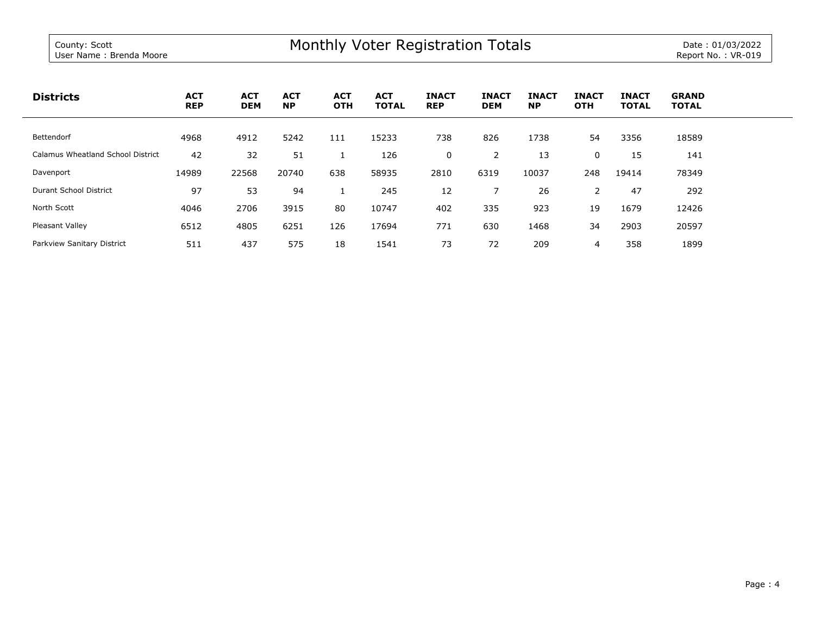| <b>Districts</b>                  | <b>ACT</b><br><b>REP</b> | <b>ACT</b><br><b>DEM</b> | <b>ACT</b><br><b>NP</b> | <b>ACT</b><br><b>OTH</b> | <b>ACT</b><br><b>TOTAL</b> | <b>INACT</b><br><b>REP</b> | <b>INACT</b><br><b>DEM</b> | <b>INACT</b><br><b>NP</b> | <b>INACT</b><br><b>OTH</b> | <b>INACT</b><br><b>TOTAL</b> | <b>GRAND</b><br><b>TOTAL</b> |
|-----------------------------------|--------------------------|--------------------------|-------------------------|--------------------------|----------------------------|----------------------------|----------------------------|---------------------------|----------------------------|------------------------------|------------------------------|
| Bettendorf                        | 4968                     | 4912                     | 5242                    | 111                      | 15233                      | 738                        | 826                        | 1738                      | 54                         | 3356                         | 18589                        |
| Calamus Wheatland School District | 42                       | 32                       | 51                      |                          | 126                        | 0                          | 2                          | 13                        | 0                          | 15                           | 141                          |
| Davenport                         | 14989                    | 22568                    | 20740                   | 638                      | 58935                      | 2810                       | 6319                       | 10037                     | 248                        | 19414                        | 78349                        |
| Durant School District            | 97                       | 53                       | 94                      |                          | 245                        | 12                         |                            | 26                        | 2                          | 47                           | 292                          |
| North Scott                       | 4046                     | 2706                     | 3915                    | 80                       | 10747                      | 402                        | 335                        | 923                       | 19                         | 1679                         | 12426                        |
| Pleasant Valley                   | 6512                     | 4805                     | 6251                    | 126                      | 17694                      | 771                        | 630                        | 1468                      | 34                         | 2903                         | 20597                        |
| Parkview Sanitary District        | 511                      | 437                      | 575                     | 18                       | 1541                       | 73                         | 72                         | 209                       | 4                          | 358                          | 1899                         |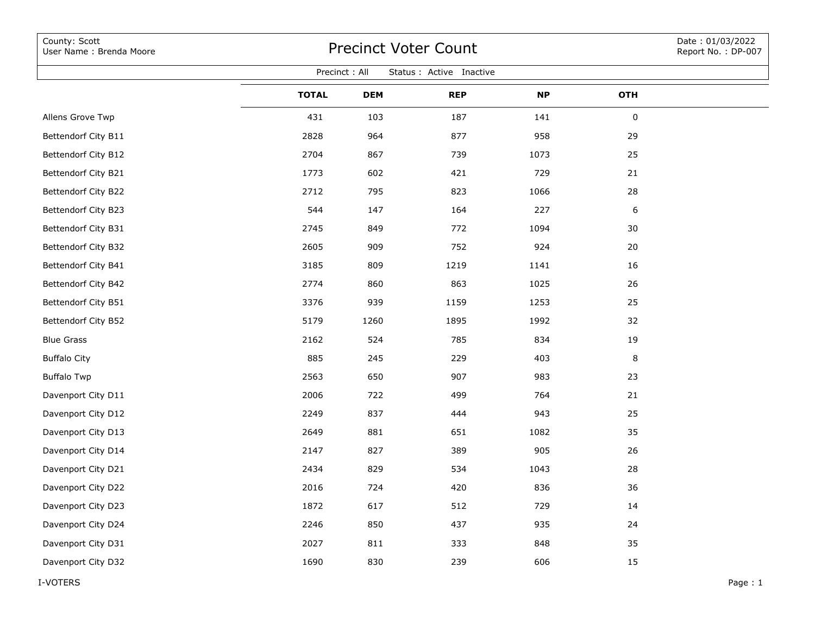| County: Scott<br>User Name: Brenda Moore  | <b>Precinct Voter Count</b> |            |            |           |            |  |  |  |  |  |  |  |
|-------------------------------------------|-----------------------------|------------|------------|-----------|------------|--|--|--|--|--|--|--|
| Precinct: All<br>Status : Active Inactive |                             |            |            |           |            |  |  |  |  |  |  |  |
|                                           | <b>TOTAL</b>                | <b>DEM</b> | <b>REP</b> | <b>NP</b> | <b>OTH</b> |  |  |  |  |  |  |  |
| Allens Grove Twp                          | 431                         | 103        | 187        | 141       | 0          |  |  |  |  |  |  |  |
| Bettendorf City B11                       | 2828                        | 964        | 877        | 958       | 29         |  |  |  |  |  |  |  |
| Bettendorf City B12                       | 2704                        | 867        | 739        | 1073      | 25         |  |  |  |  |  |  |  |
| Bettendorf City B21                       | 1773                        | 602        | 421        | 729       | 21         |  |  |  |  |  |  |  |
| Bettendorf City B22                       | 2712                        | 795        | 823        | 1066      | 28         |  |  |  |  |  |  |  |
| Bettendorf City B23                       | 544                         | 147        | 164        | 227       | 6          |  |  |  |  |  |  |  |
| Bettendorf City B31                       | 2745                        | 849        | 772        | 1094      | 30         |  |  |  |  |  |  |  |
| Bettendorf City B32                       | 2605                        | 909        | 752        | 924       | 20         |  |  |  |  |  |  |  |
| Bettendorf City B41                       | 3185                        | 809        | 1219       | 1141      | 16         |  |  |  |  |  |  |  |
| Bettendorf City B42                       | 2774                        | 860        | 863        | 1025      | 26         |  |  |  |  |  |  |  |
| Bettendorf City B51                       | 3376                        | 939        | 1159       | 1253      | 25         |  |  |  |  |  |  |  |
| Bettendorf City B52                       | 5179                        | 1260       | 1895       | 1992      | 32         |  |  |  |  |  |  |  |
| <b>Blue Grass</b>                         | 2162                        | 524        | 785        | 834       | 19         |  |  |  |  |  |  |  |
| <b>Buffalo City</b>                       | 885                         | 245        | 229        | 403       | 8          |  |  |  |  |  |  |  |
| <b>Buffalo Twp</b>                        | 2563                        | 650        | 907        | 983       | 23         |  |  |  |  |  |  |  |
| Davenport City D11                        | 2006                        | 722        | 499        | 764       | 21         |  |  |  |  |  |  |  |
| Davenport City D12                        | 2249                        | 837        | 444        | 943       | 25         |  |  |  |  |  |  |  |
| Davenport City D13                        | 2649                        | 881        | 651        | 1082      | 35         |  |  |  |  |  |  |  |
| Davenport City D14                        | 2147                        | 827        | 389        | 905       | 26         |  |  |  |  |  |  |  |
| Davenport City D21                        | 2434                        | 829        | 534        | 1043      | 28         |  |  |  |  |  |  |  |
| Davenport City D22                        | 2016                        | 724        | 420        | 836       | 36         |  |  |  |  |  |  |  |
| Davenport City D23                        | 1872                        | 617        | 512        | 729       | 14         |  |  |  |  |  |  |  |
| Davenport City D24                        | 2246                        | 850        | 437        | 935       | 24         |  |  |  |  |  |  |  |
| Davenport City D31                        | 2027                        | 811        | 333        | 848       | 35         |  |  |  |  |  |  |  |
| Davenport City D32                        | 1690                        | 830        | 239        | 606       | 15         |  |  |  |  |  |  |  |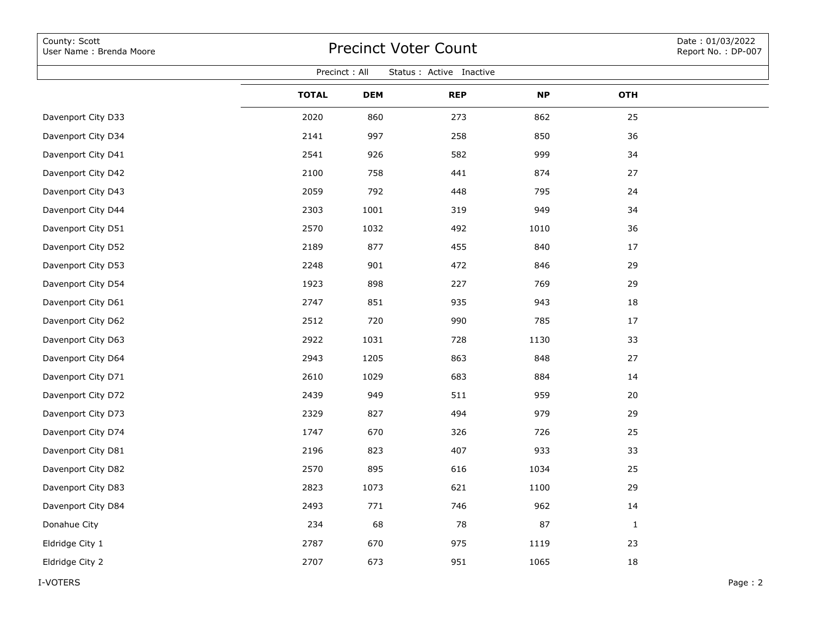| County: Scott<br>User Name: Brenda Moore  | <b>Precinct Voter Count</b> | Date: 01/03/2022<br>Report No.: DP-007 |            |           |              |         |  |  |  |  |  |  |
|-------------------------------------------|-----------------------------|----------------------------------------|------------|-----------|--------------|---------|--|--|--|--|--|--|
| Precinct: All<br>Status : Active Inactive |                             |                                        |            |           |              |         |  |  |  |  |  |  |
|                                           | <b>TOTAL</b>                | <b>DEM</b>                             | <b>REP</b> | <b>NP</b> | <b>OTH</b>   |         |  |  |  |  |  |  |
| Davenport City D33                        | 2020                        | 860                                    | 273        | 862       | 25           |         |  |  |  |  |  |  |
| Davenport City D34                        | 2141                        | 997                                    | 258        | 850       | 36           |         |  |  |  |  |  |  |
| Davenport City D41                        | 2541                        | 926                                    | 582        | 999       | 34           |         |  |  |  |  |  |  |
| Davenport City D42                        | 2100                        | 758                                    | 441        | 874       | 27           |         |  |  |  |  |  |  |
| Davenport City D43                        | 2059                        | 792                                    | 448        | 795       | 24           |         |  |  |  |  |  |  |
| Davenport City D44                        | 2303                        | 1001                                   | 319        | 949       | 34           |         |  |  |  |  |  |  |
| Davenport City D51                        | 2570                        | 1032                                   | 492        | 1010      | 36           |         |  |  |  |  |  |  |
| Davenport City D52                        | 2189                        | 877                                    | 455        | 840       | 17           |         |  |  |  |  |  |  |
| Davenport City D53                        | 2248                        | 901                                    | 472        | 846       | 29           |         |  |  |  |  |  |  |
| Davenport City D54                        | 1923                        | 898                                    | 227        | 769       | 29           |         |  |  |  |  |  |  |
| Davenport City D61                        | 2747                        | 851                                    | 935        | 943       | 18           |         |  |  |  |  |  |  |
| Davenport City D62                        | 2512                        | 720                                    | 990        | 785       | 17           |         |  |  |  |  |  |  |
| Davenport City D63                        | 2922                        | 1031                                   | 728        | 1130      | 33           |         |  |  |  |  |  |  |
| Davenport City D64                        | 2943                        | 1205                                   | 863        | 848       | 27           |         |  |  |  |  |  |  |
| Davenport City D71                        | 2610                        | 1029                                   | 683        | 884       | 14           |         |  |  |  |  |  |  |
| Davenport City D72                        | 2439                        | 949                                    | 511        | 959       | 20           |         |  |  |  |  |  |  |
| Davenport City D73                        | 2329                        | 827                                    | 494        | 979       | 29           |         |  |  |  |  |  |  |
| Davenport City D74                        | 1747                        | 670                                    | 326        | 726       | 25           |         |  |  |  |  |  |  |
| Davenport City D81                        | 2196                        | 823                                    | 407        | 933       | 33           |         |  |  |  |  |  |  |
| Davenport City D82                        | 2570                        | 895                                    | 616        | 1034      | 25           |         |  |  |  |  |  |  |
| Davenport City D83                        | 2823                        | 1073                                   | 621        | 1100      | 29           |         |  |  |  |  |  |  |
| Davenport City D84                        | 2493                        | $771\,$                                | 746        | 962       | 14           |         |  |  |  |  |  |  |
| Donahue City                              | 234                         | 68                                     | 78         | 87        | $\mathbf{1}$ |         |  |  |  |  |  |  |
| Eldridge City 1                           | 2787                        | 670                                    | 975        | 1119      | 23           |         |  |  |  |  |  |  |
| Eldridge City 2                           | 2707                        | 673                                    | 951        | 1065      | 18           |         |  |  |  |  |  |  |
| I-VOTERS                                  |                             |                                        |            |           |              | Page: 2 |  |  |  |  |  |  |